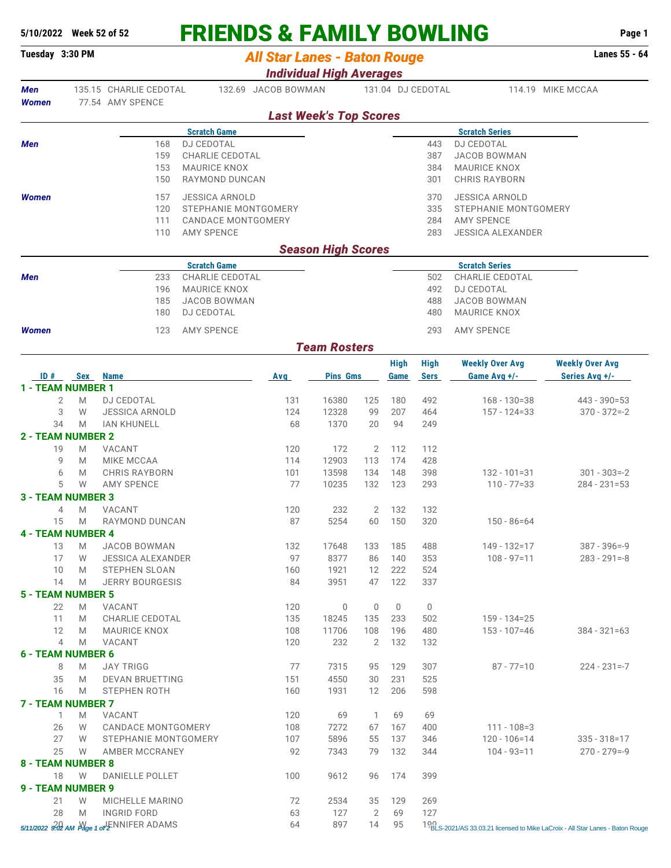## **5/10/2022 Week 52 of 52 FRIENDS & FAMILY BOWLING Page 1**

| Tuesday 3:30 PM                 |                                                                   |                                                          | <b>All Star Lanes - Baton Rouge</b> |                           |            |             |                   |                                            | Lanes 55 - 64          |  |  |
|---------------------------------|-------------------------------------------------------------------|----------------------------------------------------------|-------------------------------------|---------------------------|------------|-------------|-------------------|--------------------------------------------|------------------------|--|--|
|                                 |                                                                   |                                                          | <b>Individual High Averages</b>     |                           |            |             |                   |                                            |                        |  |  |
| <b>Men</b>                      | 135.15 CHARLIE CEDOTAL<br>132.69 JACOB BOWMAN<br>77.54 AMY SPENCE |                                                          |                                     |                           |            |             | 131.04 DJ CEDOTAL |                                            | 114.19 MIKE MCCAA      |  |  |
| Women                           |                                                                   |                                                          | <b>Last Week's Top Scores</b>       |                           |            |             |                   |                                            |                        |  |  |
|                                 |                                                                   | <b>Scratch Game</b>                                      |                                     |                           |            |             |                   |                                            |                        |  |  |
| <b>Men</b>                      |                                                                   | 168<br><b>DJ CEDOTAL</b>                                 |                                     |                           |            |             | 443               | <b>Scratch Series</b><br><b>DJ CEDOTAL</b> |                        |  |  |
|                                 |                                                                   | 159<br><b>CHARLIE CEDOTAL</b>                            |                                     |                           |            |             | 387               | <b>JACOB BOWMAN</b>                        |                        |  |  |
|                                 |                                                                   | <b>MAURICE KNOX</b><br>153                               |                                     |                           |            |             | 384               | <b>MAURICE KNOX</b>                        |                        |  |  |
|                                 |                                                                   | 150<br>RAYMOND DUNCAN                                    |                                     |                           |            |             | 301               | <b>CHRIS RAYBORN</b>                       |                        |  |  |
| <b>Women</b>                    |                                                                   | <b>JESSICA ARNOLD</b><br>157                             |                                     |                           |            |             | 370               | <b>JESSICA ARNOLD</b>                      |                        |  |  |
|                                 |                                                                   | 120                                                      | STEPHANIE MONTGOMERY                |                           |            |             | 335               | STEPHANIE MONTGOMERY                       |                        |  |  |
|                                 |                                                                   | 111                                                      | <b>CANDACE MONTGOMERY</b>           |                           |            |             | 284               | <b>AMY SPENCE</b>                          |                        |  |  |
|                                 |                                                                   | 110<br><b>AMY SPENCE</b>                                 |                                     |                           |            |             | 283               | <b>JESSICA ALEXANDER</b>                   |                        |  |  |
|                                 |                                                                   |                                                          |                                     | <b>Season High Scores</b> |            |             |                   |                                            |                        |  |  |
|                                 |                                                                   | <b>Scratch Game</b>                                      |                                     |                           |            |             |                   | <b>Scratch Series</b>                      |                        |  |  |
| <b>Men</b>                      |                                                                   | CHARLIE CEDOTAL<br>233                                   |                                     |                           |            |             | 502               | CHARLIE CEDOTAL                            |                        |  |  |
|                                 |                                                                   | 196<br><b>MAURICE KNOX</b><br>185<br><b>JACOB BOWMAN</b> |                                     |                           |            |             | 492<br>488        | <b>DJ CEDOTAL</b><br><b>JACOB BOWMAN</b>   |                        |  |  |
|                                 |                                                                   | <b>DJ CEDOTAL</b><br>180                                 |                                     |                           |            |             | 480               | <b>MAURICE KNOX</b>                        |                        |  |  |
|                                 |                                                                   |                                                          |                                     |                           |            |             |                   |                                            |                        |  |  |
| <b>Women</b>                    |                                                                   | <b>AMY SPENCE</b><br>123                                 |                                     |                           |            |             | 293               | <b>AMY SPENCE</b>                          |                        |  |  |
|                                 |                                                                   |                                                          |                                     | <b>Team Rosters</b>       |            |             |                   |                                            |                        |  |  |
|                                 |                                                                   |                                                          |                                     |                           |            | <b>High</b> | <b>High</b>       | <b>Weekly Over Avg</b>                     | <b>Weekly Over Avg</b> |  |  |
| ID#<br><b>1 - TEAM NUMBER 1</b> | <b>Sex</b>                                                        | <b>Name</b>                                              | <b>Avg</b>                          | <b>Pins Gms</b>           |            | Game        | <b>Sers</b>       | Game Avg +/-                               | Series Avg +/-         |  |  |
|                                 | 2<br>M                                                            | <b>DJ CEDOTAL</b>                                        | 131                                 | 16380                     | 125        | 180         | 492               | $168 - 130 = 38$                           | 443 - 390=53           |  |  |
| 3                               | W                                                                 | <b>JESSICA ARNOLD</b>                                    | 124                                 | 12328                     | 99         | 207         | 464               | $157 - 124 = 33$                           | $370 - 372 = -2$       |  |  |
| 34                              | M                                                                 | <b>IAN KHUNELL</b>                                       | 68                                  | 1370                      | 20         | 94          | 249               |                                            |                        |  |  |
| <b>2 - TEAM NUMBER 2</b>        |                                                                   |                                                          |                                     |                           |            |             |                   |                                            |                        |  |  |
| 19                              | M                                                                 | VACANT                                                   | 120                                 | 172                       | 2          | 112         | 112               |                                            |                        |  |  |
| 9                               | M                                                                 | MIKE MCCAA                                               | 114                                 | 12903                     | 113        | 174         | 428               |                                            |                        |  |  |
| 6                               | M                                                                 | <b>CHRIS RAYBORN</b>                                     | 101                                 | 13598                     | 134        | 148         | 398               | $132 - 101 = 31$                           | $301 - 303 = -2$       |  |  |
|                                 | 5<br>W                                                            | <b>AMY SPENCE</b>                                        | 77                                  | 10235                     | 132        | 123         | 293               | $110 - 77 = 33$                            | $284 - 231 = 53$       |  |  |
| <b>3 - TEAM NUMBER 3</b>        | M<br>4                                                            | VACANT                                                   |                                     | 232                       | 2          | 132         | 132               |                                            |                        |  |  |
| 15                              | M                                                                 | RAYMOND DUNCAN                                           | 120<br>87                           | 5254                      | 60         | 150         | 320               | $150 - 86 = 64$                            |                        |  |  |
| <b>4 - TEAM NUMBER 4</b>        |                                                                   |                                                          |                                     |                           |            |             |                   |                                            |                        |  |  |
| 13                              | M                                                                 | JACOB BOWMAN                                             | 132                                 | 17648                     | 133        | 185         | 488               | 149 - 132=17                               | $387 - 396 = -9$       |  |  |
| 17                              | W                                                                 | <b>JESSICA ALEXANDER</b>                                 | 97                                  | 8377                      | 86         | 140         | 353               | $108 - 97 = 11$                            | $283 - 291 = -8$       |  |  |
| 10                              | M                                                                 | <b>STEPHEN SLOAN</b>                                     | 160                                 | 1921                      | 12         | 222         | 524               |                                            |                        |  |  |
| 14                              | M                                                                 | <b>JERRY BOURGESIS</b>                                   | 84                                  | 3951                      | 47         | 122         | 337               |                                            |                        |  |  |
| <b>5 - TEAM NUMBER 5</b>        |                                                                   |                                                          |                                     |                           |            |             |                   |                                            |                        |  |  |
| 22                              | M                                                                 | VACANT                                                   | 120                                 | 0                         | 0          | 0           | 0                 |                                            |                        |  |  |
| 11<br>12                        | M<br>M                                                            | CHARLIE CEDOTAL<br><b>MAURICE KNOX</b>                   | 135<br>108                          | 18245<br>11706            | 135<br>108 | 233<br>196  | 502<br>480        | 159 - 134=25<br>$153 - 107 = 46$           | $384 - 321 = 63$       |  |  |
|                                 | 4<br>M                                                            | VACANT                                                   | 120                                 | 232                       | 2          | 132         | 132               |                                            |                        |  |  |
| <b>6 - TEAM NUMBER 6</b>        |                                                                   |                                                          |                                     |                           |            |             |                   |                                            |                        |  |  |
| 8                               | M                                                                 | <b>JAY TRIGG</b>                                         | 77                                  | 7315                      | 95         | 129         | 307               | $87 - 77 = 10$                             | $224 - 231 = -7$       |  |  |
| 35                              | M                                                                 | <b>DEVAN BRUETTING</b>                                   | 151                                 | 4550                      | 30         | 231         | 525               |                                            |                        |  |  |
| 16                              | M                                                                 | STEPHEN ROTH                                             | 160                                 | 1931                      | 12         | 206         | 598               |                                            |                        |  |  |
| <b>7 - TEAM NUMBER 7</b>        |                                                                   |                                                          |                                     |                           |            |             |                   |                                            |                        |  |  |
|                                 | $\mathbf{1}$                                                      | M VACANT                                                 | 120                                 | 69                        |            | 1 69        | 69                |                                            |                        |  |  |

26 W CANDACE MONTGOMERY 108 7272 67 167 400 111 - 108=3

|                   | W | STEPHANIE MONTGOMERY                                                          | 107 | 5896 | 55 | 137   | 346 | $120 - 106 = 14$ | $335 - 318 = 17$                                                                |
|-------------------|---|-------------------------------------------------------------------------------|-----|------|----|-------|-----|------------------|---------------------------------------------------------------------------------|
| 25                | W | AMBER MCCRANEY                                                                | 92  | 7343 | 79 | 132   | 344 | $104 - 93 = 11$  | $270 - 279 = -9$                                                                |
| 8 - TEAM NUMBER 8 |   |                                                                               |     |      |    |       |     |                  |                                                                                 |
| 18                | W | <b>DANIELLE POLLET</b>                                                        | 100 | 9612 | 96 | - 174 | 399 |                  |                                                                                 |
| 9 - TEAM NUMBER 9 |   |                                                                               |     |      |    |       |     |                  |                                                                                 |
|                   | W | MICHELLE MARINO                                                               |     | 2534 | 35 | 129   | 269 |                  |                                                                                 |
| 28                | M | INGRID FORD                                                                   | 63  | 127  |    | 69    | 127 |                  |                                                                                 |
|                   |   | $5/11/2022$ $3/22$ AM $M_{\text{age 1}}$ or $\sqrt{\frac{1}{2}}$ NNIFER ADAMS | 64  | 897  | 14 | -95   |     |                  | 1% BLS-2021/AS 33.03.21 licensed to Mike LaCroix - All Star Lanes - Baton Rouge |